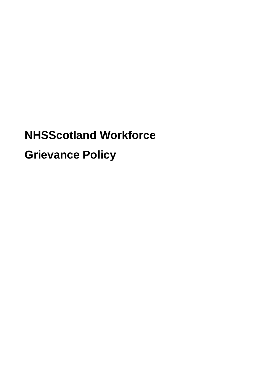# **NHSScotland Workforce Grievance Policy**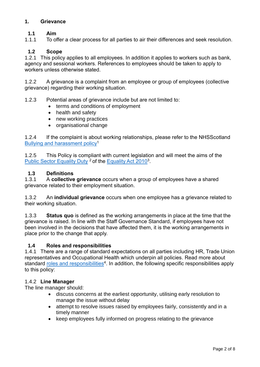## **1. Grievance**

## **1.1 Aim**

1.1.1 To offer a clear process for all parties to air their differences and seek resolution.

#### **1.2 Scope**

1.2.1 This policy applies to all employees. In addition it applies to workers such as bank, agency and sessional workers. References to employees should be taken to apply to workers unless otherwise stated.

1.2.2 A grievance is a complaint from an employee or group of employees (collective grievance) regarding their working situation.

1.2.3 Potential areas of grievance include but are not limited to:

- terms and conditions of employment
- health and safety
- new working practices
- organisational change

1.2.4 If the complaint is about working relationships, please refer to the NHSS cotland Bullying and [harassment policy](https://workforce.nhs.scot/policies/bullying-and-harassment-policy-overview/)<sup>1</sup>

1.2.5 This Policy is compliant with current legislation and will meet the aims of the [Public Sector Equality Duty](https://workforce.nhs.scot/about/principles-and-values/)<sup>2</sup> of the [Equality Act 2010](https://www.legislation.gov.uk/ukpga/2010/15/contents)<sup>3</sup>.

#### **1.3 Definitions**

1.3.1 A **collective grievance** occurs when a group of employees have a shared grievance related to their employment situation.

1.3.2 An **individual grievance** occurs when one employee has a grievance related to their working situation.

1.3.3 **Status quo** is defined as the working arrangements in place at the time that the grievance is raised. In line with the Staff Governance Standard, if employees have not been involved in the decisions that have affected them, it is the working arrangements in place prior to the change that apply.

#### **1.4 Roles and responsibilities**

1.4.1 There are a range of standard expectations on all parties including HR, Trade Union representatives and Occupational Health which underpin all policies. Read more about standard [roles and responsibilities](https://workforce.nhs.scot/about/roles-and-responsibilities/)<sup>4</sup>. In addition, the following specific responsibilities apply to this policy:

#### 1.4.2 **Line Manager**

The line manager should:

- discuss concerns at the earliest opportunity, utilising early resolution to manage the issue without delay
- attempt to resolve issues raised by employees fairly, consistently and in a timely manner
- keep employees fully informed on progress relating to the grievance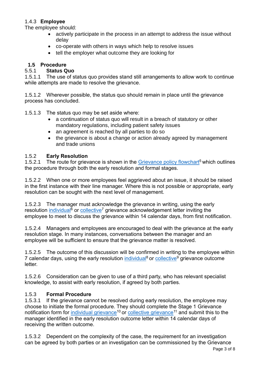## 1.4.3 **Employee**

The employee should:

- actively participate in the process in an attempt to address the issue without delay
- co-operate with others in ways which help to resolve issues
- tell the employer what outcome they are looking for

# **1.5 Procedure**

# 5.5.1 **Status Quo**

1.5.1.1 The use of status quo provides stand still arrangements to allow work to continue while attempts are made to resolve the grievance.

1.5.1.2 Wherever possible, the status quo should remain in place until the grievance process has concluded.

1.5.1.3 The status quo may be set aside where:

- a continuation of status quo will result in a breach of statutory or other mandatory regulations, including patient safety issues
- an agreement is reached by all parties to do so
- the grievance is about a change or action already agreed by management and trade unions

## 1.5.2 **Early Resolution**

1.5.2.1 The route for grievance is shown in the [Grievance policy flowchart](https://workforce.nhs.scot/supporting-documents/flowchart/grievance-policy-flowchart/)<sup>5</sup> which outlines the procedure through both the early resolution and formal stages.

1.5.2.2 When one or more employees feel aggrieved about an issue, it should be raised in the first instance with their line manager. Where this is not possible or appropriate, early resolution can be sought with the next level of management.

1.5.2.3 The manager must acknowledge the grievance in writing, using the early resolution [individual](https://workforce.nhs.scot/supporting-documents/letter-template/grievance-policy-early-resolution-individual-grievance-acknowledgement-letter/)<sup>6</sup> or [collective](https://workforce.nhs.scot/supporting-documents/letter-template/grievance-policy-early-resolution-collective-grievance-acknowledgement-letter/)<sup>7</sup> grievance acknowledgement letter inviting the employee to meet to discuss the grievance within 14 calendar days, from first notification.

1.5.2.4 Managers and employees are encouraged to deal with the grievance at the early resolution stage. In many instances, conversations between the manager and an employee will be sufficient to ensure that the grievance matter is resolved.

1.5.2.5 The outcome of this discussion will be confirmed in writing to the employee within 7 calendar days, using the early resolution [individual](https://workforce.nhs.scot/supporting-documents/letter-template/grievance-policy-early-resolution-individual-outcome-letter/)<sup>8</sup> or [collective](https://workforce.nhs.scot/supporting-documents/letter-template/grievance-policy-early-resolution-collective-grievance-outcome-letter/)<sup>9</sup> grievance outcome letter.

1.5.2.6 Consideration can be given to use of a third party, who has relevant specialist knowledge, to assist with early resolution, if agreed by both parties.

## 1.5.3 **Formal Procedure**

1.5.3.1 If the grievance cannot be resolved during early resolution, the employee may choose to initiate the formal procedure. They should complete the Stage 1 Grievance notification form for [individual grievance](https://workforce.nhs.scot/supporting-documents/form/grievance-policy-stage-1-individual-grievance-notification-form/)<sup>10</sup> or [collective grievance](https://workforce.nhs.scot/supporting-documents/form/grievance-policy-stage-1-collective-grievance-notification-form/)<sup>11</sup> and submit this to the manager identified in the early resolution outcome letter within 14 calendar days of receiving the written outcome.

1.5.3.2 Dependent on the complexity of the case, the requirement for an investigation can be agreed by both parties or an investigation can be commissioned by the Grievance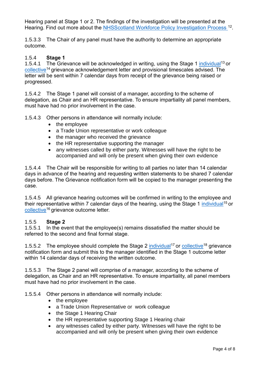Hearing panel at Stage 1 or 2. The findings of the investigation will be presented at the Hearing. Find out more about the **NHSScotland Workforce Policy Investigation Process**<sup>12</sup>.

1.5.3.3 The Chair of any panel must have the authority to determine an appropriate outcome.

## 1.5.4 **Stage 1**

1.5.4.1 The Grievance will be acknowledged in writing, using the Stage 1 [individual](https://workforce.nhs.scot/supporting-documents/letter-template/grievance-policy-stage-1-individual-grievance-acknowledgement-letter/)<sup>13</sup> or [collective](https://workforce.nhs.scot/supporting-documents/letter-template/grievance-policy-stage-1-collective-grievance-acknowledgement-letter/)<sup>14</sup> grievance acknowledgement letter and provisional timescales advised. The letter will be sent within 7 calendar days from receipt of the grievance being raised or progressed.

1.5.4.2 The Stage 1 panel will consist of a manager, according to the scheme of delegation, as Chair and an HR representative. To ensure impartiality all panel members, must have had no prior involvement in the case.

1.5.4.3 Other persons in attendance will normally include:

- the employee
- a Trade Union representative or work colleague
- the manager who received the grievance
- the HR representative supporting the manager
- any witnesses called by either party. Witnesses will have the right to be accompanied and will only be present when giving their own evidence

1.5.4.4 The Chair will be responsible for writing to all parties no later than 14 calendar days in advance of the hearing and requesting written statements to be shared 7 calendar days before. The Grievance notification form will be copied to the manager presenting the case.

1.5.4.5 All grievance hearing outcomes will be confirmed in writing to the employee and their representative within 7 calendar days of the hearing, using the Stage 1 [individual](https://workforce.nhs.scot/supporting-documents/letter-template/grievance-policy-stage-1-individual-grievance-outcome-letter/)<sup>15</sup> or [collective](https://workforce.nhs.scot/supporting-documents/letter-template/grievance-policy-stage-1-collective-grievance-outcome-letter/)<sup>16</sup> grievance outcome letter.

#### 1.5.5 **Stage 2**

1.5.5.1 In the event that the employee(s) remains dissatisfied the matter should be referred to the second and final formal stage.

1.5.5.2 The employee should complete the Stage 2 [individual](https://workforce.nhs.scot/supporting-documents/form/grievance-policy-stage-2-individual-grievance-notification-form/)<sup>17</sup> or [collective](https://workforce.nhs.scot/supporting-documents/form/grievance-policy-stage-2-collective-grievance-notification-form/)<sup>18</sup> grievance notification form and submit this to the manager identified in the Stage 1 outcome letter within 14 calendar days of receiving the written outcome.

1.5.5.3 The Stage 2 panel will comprise of a manager, according to the scheme of delegation, as Chair and an HR representative. To ensure impartiality, all panel members must have had no prior involvement in the case.

1.5.5.4 Other persons in attendance will normally include:

- the employee
- a Trade Union Representative or work colleague
- the Stage 1 Hearing Chair
- the HR representative supporting Stage 1 Hearing chair
- any witnesses called by either party. Witnesses will have the right to be accompanied and will only be present when giving their own evidence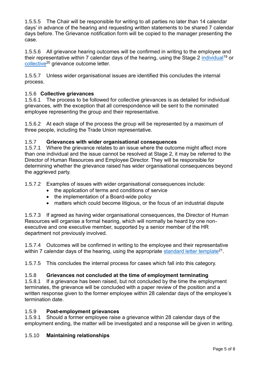1.5.5.5 The Chair will be responsible for writing to all parties no later than 14 calendar days' in advance of the hearing and requesting written statements to be shared 7 calendar days before. The Grievance notification form will be copied to the manager presenting the case.

1.5.5.6 All grievance hearing outcomes will be confirmed in writing to the employee and their representative within 7 calendar days of the hearing, using the Stage 2 [individual](https://workforce.nhs.scot/supporting-documents/letter-template/grievance-policy-stage-2-individual-grievance-outcome-letter/)<sup>19</sup> or [collective](https://workforce.nhs.scot/supporting-documents/letter-template/grievance-policy-stage-2-collective-grievance-outcome-letter/)<sup>20</sup> grievance outcome letter.

1.5.5.7 Unless wider organisational issues are identified this concludes the internal process.

# 1.5.6 **Collective grievances**

1.5.6.1 The process to be followed for collective grievances is as detailed for individual grievances, with the exception that all correspondence will be sent to the nominated employee representing the group and their representative.

1.5.6.2 At each stage of the process the group will be represented by a maximum of three people, including the Trade Union representative.

#### 1.5.7 **Grievances with wider organisational consequences**

1.5.7.1 Where the grievance relates to an issue where the outcome might affect more than one individual and the issue cannot be resolved at Stage 2, it may be referred to the Director of Human Resources and Employee Director. They will be responsible for determining whether the grievance raised has wider organisational consequences beyond the aggrieved party.

1.5.7.2 Examples of issues with wider organisational consequences include:

- the application of terms and conditions of service
- the implementation of a Board-wide policy
- matters which could become litigious, or the focus of an industrial dispute

1.5.7.3 If agreed as having wider organisational consequences, the Director of Human Resources will organise a formal hearing, which will normally be heard by one nonexecutive and one executive member, supported by a senior member of the HR department not previously involved.

1.5.7.4 Outcomes will be confirmed in writing to the employee and their representative within 7 calendar days of the hearing, using the appropriate <u>standard letter template</u><sup>21</sup>.

1.5.7.5 This concludes the internal process for cases which fall into this category.

## 1.5.8 **Grievances not concluded at the time of employment terminating**

1.5.8.1 If a grievance has been raised, but not concluded by the time the employment terminates, the grievance will be concluded with a paper review of the position and a written response given to the former employee within 28 calendar days of the employee's termination date.

#### 1.5.9 **Post-employment grievances**

1.5.9.1 Should a former employee raise a grievance within 28 calendar days of the employment ending, the matter will be investigated and a response will be given in writing.

## 1.5.10 **Maintaining relationships**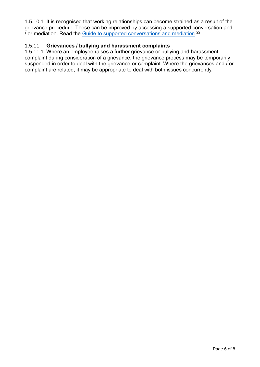1.5.10.1 It is recognised that working relationships can become strained as a result of the grievance procedure. These can be improved by accessing a supported conversation and / or mediation. Read the [Guide to supported conversations and mediation](https://workforce.nhs.scot/supporting-documents/guides/guide-to-supported-conversations-and-mediation/) <sup>22</sup>.

# 1.5.11 **Grievances / bullying and harassment complaints**

1.5.11.1 Where an employee raises a further grievance or bullying and harassment complaint during consideration of a grievance, the grievance process may be temporarily suspended in order to deal with the grievance or complaint. Where the grievances and / or complaint are related, it may be appropriate to deal with both issues concurrently.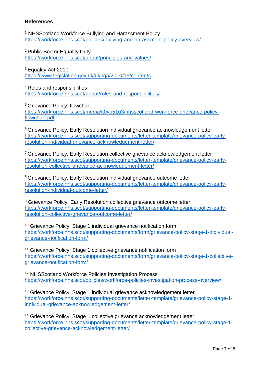#### **References**

<sup>1</sup> NHSScotland Workforce Bullying and Harassment Policy <https://workforce.nhs.scot/policies/bullying-and-harassment-policy-overview/>

<sup>2</sup> Public Sector Equality Duty <https://workforce.nhs.scot/about/principles-and-values/>

<sup>3</sup> Equality Act 2010 <https://www.legislation.gov.uk/ukpga/2010/15/contents>

<sup>4</sup>Roles and responsibilities <https://workforce.nhs.scot/about/roles-and-responsibilities/>

<sup>5</sup>Grievance Policy: flowchart [https://workforce.nhs.scot/media/k0yb51u3/nhsscotland-workforce-grievance-policy](https://workforce.nhs.scot/media/k0yb51u3/nhsscotland-workforce-grievance-policy-flowchart.pdf)[flowchart.pdf](https://workforce.nhs.scot/media/k0yb51u3/nhsscotland-workforce-grievance-policy-flowchart.pdf)

<sup>6</sup> Grievance Policy: Early Resolution individual grievance acknowledgement letter [https://workforce.nhs.scot/supporting-documents/letter-template/grievance-policy-early](https://workforce.nhs.scot/supporting-documents/letter-template/grievance-policy-early-resolution-individual-grievance-acknowledgement-letter/)[resolution-individual-grievance-acknowledgement-letter/](https://workforce.nhs.scot/supporting-documents/letter-template/grievance-policy-early-resolution-individual-grievance-acknowledgement-letter/)

<sup>7</sup> Grievance Policy: Early Resolution collective grievance acknowledgement letter [https://workforce.nhs.scot/supporting-documents/letter-template/grievance-policy-early](https://workforce.nhs.scot/supporting-documents/letter-template/grievance-policy-early-resolution-collective-grievance-acknowledgement-letter/)[resolution-collective-grievance-acknowledgement-letter/](https://workforce.nhs.scot/supporting-documents/letter-template/grievance-policy-early-resolution-collective-grievance-acknowledgement-letter/)

<sup>8</sup> Grievance Policy: Early Resolution individual grievance outcome letter [https://workforce.nhs.scot/supporting-documents/letter-template/grievance-policy-early](https://workforce.nhs.scot/supporting-documents/letter-template/grievance-policy-early-resolution-individual-outcome-letter/)[resolution-individual-outcome-letter/](https://workforce.nhs.scot/supporting-documents/letter-template/grievance-policy-early-resolution-individual-outcome-letter/)

<sup>9</sup> Grievance Policy: Early Resolution collective grievance outcome letter [https://workforce.nhs.scot/supporting-documents/letter-template/grievance-policy-early](https://workforce.nhs.scot/supporting-documents/letter-template/grievance-policy-early-resolution-collective-grievance-outcome-letter/)[resolution-collective-grievance-outcome-letter/](https://workforce.nhs.scot/supporting-documents/letter-template/grievance-policy-early-resolution-collective-grievance-outcome-letter/)

<sup>10</sup> Grievance Policy: Stage 1 individual grievance notification form [https://workforce.nhs.scot/supporting-documents/form/grievance-policy-stage-1-individual](https://workforce.nhs.scot/supporting-documents/form/grievance-policy-stage-1-individual-grievance-notification-form/)[grievance-notification-form/](https://workforce.nhs.scot/supporting-documents/form/grievance-policy-stage-1-individual-grievance-notification-form/)

<sup>11</sup> Grievance Policy: Stage 1 collective grievance notification form [https://workforce.nhs.scot/supporting-documents/form/grievance-policy-stage-1-collective](https://workforce.nhs.scot/supporting-documents/form/grievance-policy-stage-1-collective-grievance-notification-form/)[grievance-notification-form/](https://workforce.nhs.scot/supporting-documents/form/grievance-policy-stage-1-collective-grievance-notification-form/)

<sup>12</sup> NHSScotland Workforce Policies Investigation Process <https://workforce.nhs.scot/policies/workforce-policies-investigation-process-overview/>

<sup>13</sup> Grievance Policy: Stage 1 individual grievance acknowledgement letter [https://workforce.nhs.scot/supporting-documents/letter-template/grievance-policy-stage-1](https://workforce.nhs.scot/supporting-documents/letter-template/grievance-policy-stage-1-individual-grievance-acknowledgement-letter/) [individual-grievance-acknowledgement-letter/](https://workforce.nhs.scot/supporting-documents/letter-template/grievance-policy-stage-1-individual-grievance-acknowledgement-letter/)

<sup>14</sup> Grievance Policy: Stage 1 collective grievance acknowledgement letter [https://workforce.nhs.scot/supporting-documents/letter-template/grievance-policy-stage-1](https://workforce.nhs.scot/supporting-documents/letter-template/grievance-policy-stage-1-collective-grievance-acknowledgement-letter/) [collective-grievance-acknowledgement-letter/](https://workforce.nhs.scot/supporting-documents/letter-template/grievance-policy-stage-1-collective-grievance-acknowledgement-letter/)